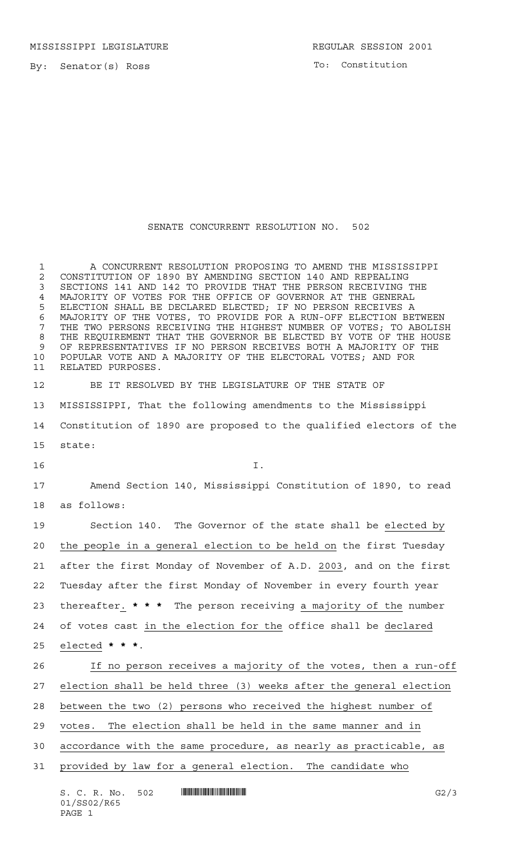MISSISSIPPI LEGISLATURE **REGULAR SESSION 2001** 

To: Constitution

## SENATE CONCURRENT RESOLUTION NO. 502

 A CONCURRENT RESOLUTION PROPOSING TO AMEND THE MISSISSIPPI 2 CONSTITUTION OF 1890 BY AMENDING SECTION 140 AND REPEALING<br>3 SECTIONS 141 AND 142 TO PROVIDE THAT THE PERSON RECEIVING SECTIONS 141 AND 142 TO PROVIDE THAT THE PERSON RECEIVING THE MAJORITY OF VOTES FOR THE OFFICE OF GOVERNOR AT THE GENERAL ELECTION SHALL BE DECLARED ELECTED; IF NO PERSON RECEIVES A MAJORITY OF THE VOTES, TO PROVIDE FOR A RUN-OFF ELECTION BETWEEN THE TWO PERSONS RECEIVING THE HIGHEST NUMBER OF VOTES; TO ABOLISH THE REQUIREMENT THAT THE GOVERNOR BE ELECTED BY VOTE OF THE HOUSE OF REPRESENTATIVES IF NO PERSON RECEIVES BOTH A MAJORITY OF THE POPULAR VOTE AND A MAJORITY OF THE ELECTORAL VOTES; AND FOR RELATED PURPOSES. BE IT RESOLVED BY THE LEGISLATURE OF THE STATE OF MISSISSIPPI, That the following amendments to the Mississippi Constitution of 1890 are proposed to the qualified electors of the state: I. Amend Section 140, Mississippi Constitution of 1890, to read as follows: Section 140. The Governor of the state shall be elected by the people in a general election to be held on the first Tuesday 21 after the first Monday of November of A.D. 2003, and on the first Tuesday after the first Monday of November in every fourth year thereafter. **\*\*\*** The person receiving a majority of the number 24 of votes cast in the election for the office shall be declared elected **\*\*\***. If no person receives a majority of the votes, then a run-off election shall be held three (3) weeks after the general election between the two (2) persons who received the highest number of votes. The election shall be held in the same manner and in accordance with the same procedure, as nearly as practicable, as provided by law for a general election. The candidate who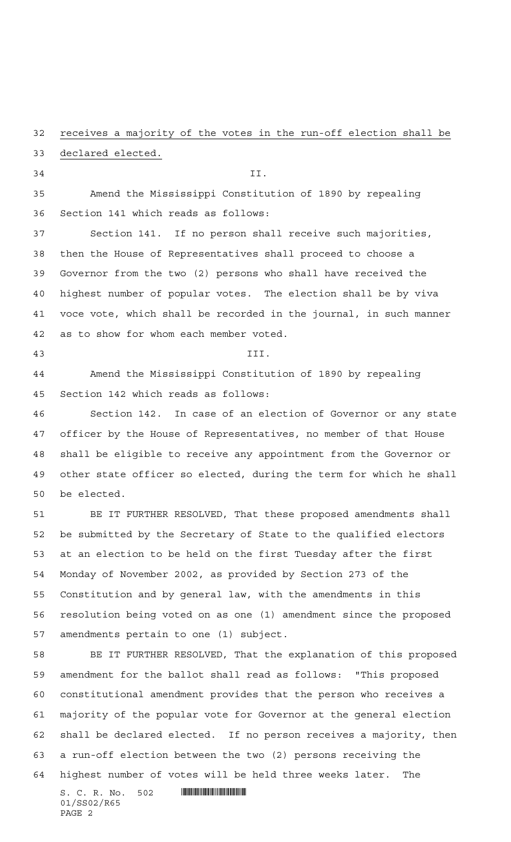receives a majority of the votes in the run-off election shall be

declared elected.

II.

 Amend the Mississippi Constitution of 1890 by repealing Section 141 which reads as follows:

 Section 141. If no person shall receive such majorities, then the House of Representatives shall proceed to choose a Governor from the two (2) persons who shall have received the highest number of popular votes. The election shall be by viva voce vote, which shall be recorded in the journal, in such manner as to show for whom each member voted.

III.

 Amend the Mississippi Constitution of 1890 by repealing Section 142 which reads as follows:

 Section 142. In case of an election of Governor or any state officer by the House of Representatives, no member of that House shall be eligible to receive any appointment from the Governor or other state officer so elected, during the term for which he shall be elected.

 BE IT FURTHER RESOLVED, That these proposed amendments shall be submitted by the Secretary of State to the qualified electors at an election to be held on the first Tuesday after the first Monday of November 2002, as provided by Section 273 of the Constitution and by general law, with the amendments in this resolution being voted on as one (1) amendment since the proposed amendments pertain to one (1) subject.

 $S. C. R. No. 502$  Henri Holden and American and American and American and American and American and American and American and American and American and American and American and American and American and American and America BE IT FURTHER RESOLVED, That the explanation of this proposed amendment for the ballot shall read as follows: "This proposed constitutional amendment provides that the person who receives a majority of the popular vote for Governor at the general election shall be declared elected. If no person receives a majority, then a run-off election between the two (2) persons receiving the highest number of votes will be held three weeks later. The

01/SS02/R65 PAGE 2